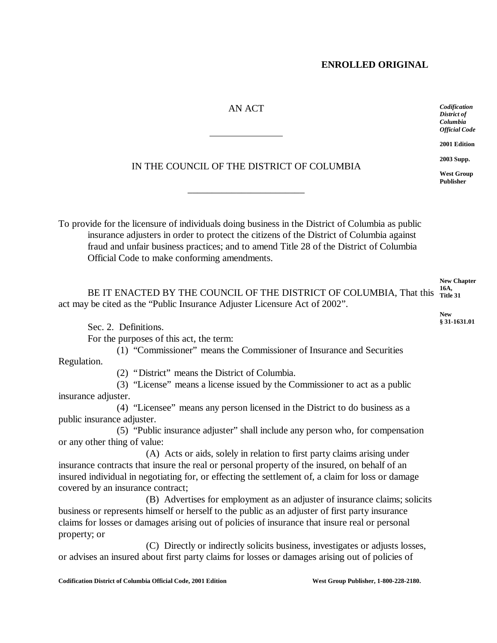# AN ACT

 $\overline{a}$ 

*Codification District of Columbia Official Code*

**2001 Edition**

**2003 Supp.**

**West Group Publisher**

# IN THE COUNCIL OF THE DISTRICT OF COLUMBIA

\_\_\_\_\_\_\_\_\_\_\_\_\_\_\_\_\_\_\_\_\_\_\_\_

To provide for the licensure of individuals doing business in the District of Columbia as public insurance adjusters in order to protect the citizens of the District of Columbia against fraud and unfair business practices; and to amend Title 28 of the District of Columbia Official Code to make conforming amendments.

|                                                                                                     | <b>New Chapter</b> |
|-----------------------------------------------------------------------------------------------------|--------------------|
| BE IT ENACTED BY THE COUNCIL OF THE DISTRICT OF COLUMBIA, That this <sup>16A</sup> , <sup>16A</sup> |                    |
| act may be cited as the "Public Insurance Adjuster Licensure Act of 2002".                          |                    |

Sec. 2. Definitions.

For the purposes of this act, the term:

(1) "Commissioner" means the Commissioner of Insurance and Securities

Regulation.

(2) "District" means the District of Columbia.

(3) "License" means a license issued by the Commissioner to act as a public insurance adjuster.

(4) "Licensee" means any person licensed in the District to do business as a public insurance adjuster.

(5) "Public insurance adjuster" shall include any person who, for compensation or any other thing of value:

(A) Acts or aids, solely in relation to first party claims arising under insurance contracts that insure the real or personal property of the insured, on behalf of an insured individual in negotiating for, or effecting the settlement of, a claim for loss or damage covered by an insurance contract;

(B) Advertises for employment as an adjuster of insurance claims; solicits business or represents himself or herself to the public as an adjuster of first party insurance claims for losses or damages arising out of policies of insurance that insure real or personal property; or

(C) Directly or indirectly solicits business, investigates or adjusts losses, or advises an insured about first party claims for losses or damages arising out of policies of

**New § 31-1631.01**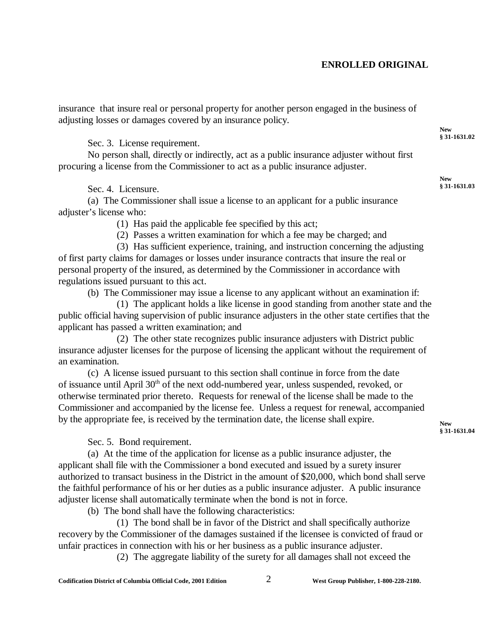insurance that insure real or personal property for another person engaged in the business of adjusting losses or damages covered by an insurance policy.

Sec. 3. License requirement.

No person shall, directly or indirectly, act as a public insurance adjuster without first procuring a license from the Commissioner to act as a public insurance adjuster.

Sec. 4. Licensure.

(a) The Commissioner shall issue a license to an applicant for a public insurance adjuster's license who:

(1) Has paid the applicable fee specified by this act;

(2) Passes a written examination for which a fee may be charged; and

(3) Has sufficient experience, training, and instruction concerning the adjusting of first party claims for damages or losses under insurance contracts that insure the real or personal property of the insured, as determined by the Commissioner in accordance with regulations issued pursuant to this act.

(b) The Commissioner may issue a license to any applicant without an examination if:

(1) The applicant holds a like license in good standing from another state and the public official having supervision of public insurance adjusters in the other state certifies that the applicant has passed a written examination; and

(2) The other state recognizes public insurance adjusters with District public insurance adjuster licenses for the purpose of licensing the applicant without the requirement of an examination.

(c) A license issued pursuant to this section shall continue in force from the date of issuance until April 30th of the next odd-numbered year, unless suspended, revoked, or otherwise terminated prior thereto. Requests for renewal of the license shall be made to the Commissioner and accompanied by the license fee. Unless a request for renewal, accompanied by the appropriate fee, is received by the termination date, the license shall expire.

Sec. 5. Bond requirement.

(a) At the time of the application for license as a public insurance adjuster, the applicant shall file with the Commissioner a bond executed and issued by a surety insurer authorized to transact business in the District in the amount of \$20,000, which bond shall serve the faithful performance of his or her duties as a public insurance adjuster. A public insurance adjuster license shall automatically terminate when the bond is not in force.

(b) The bond shall have the following characteristics:

(1) The bond shall be in favor of the District and shall specifically authorize recovery by the Commissioner of the damages sustained if the licensee is convicted of fraud or unfair practices in connection with his or her business as a public insurance adjuster.

(2) The aggregate liability of the surety for all damages shall not exceed the

**New § 31-1631.02**

**New § 31-1631.03**

**New § 31-1631.04**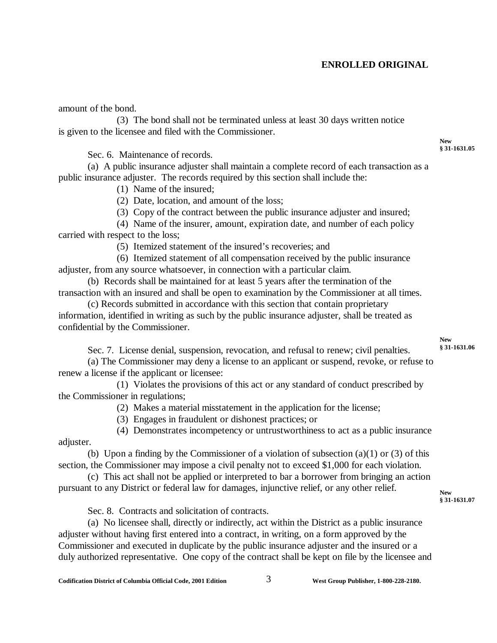amount of the bond.

(3) The bond shall not be terminated unless at least 30 days written notice is given to the licensee and filed with the Commissioner.

Sec. 6. Maintenance of records.

(a) A public insurance adjuster shall maintain a complete record of each transaction as a public insurance adjuster. The records required by this section shall include the:

(1) Name of the insured;

(2) Date, location, and amount of the loss;

(3) Copy of the contract between the public insurance adjuster and insured;

(4) Name of the insurer, amount, expiration date, and number of each policy carried with respect to the loss;

(5) Itemized statement of the insured's recoveries; and

(6) Itemized statement of all compensation received by the public insurance adjuster, from any source whatsoever, in connection with a particular claim.

(b) Records shall be maintained for at least 5 years after the termination of the transaction with an insured and shall be open to examination by the Commissioner at all times.

(c) Records submitted in accordance with this section that contain proprietary information, identified in writing as such by the public insurance adjuster, shall be treated as confidential by the Commissioner.

> **New § 31-1631.06**

> **New § 31-1631.05**

Sec. 7. License denial, suspension, revocation, and refusal to renew; civil penalties.

(a) The Commissioner may deny a license to an applicant or suspend, revoke, or refuse to renew a license if the applicant or licensee:

(1) Violates the provisions of this act or any standard of conduct prescribed by the Commissioner in regulations;

(2) Makes a material misstatement in the application for the license;

(3) Engages in fraudulent or dishonest practices; or

(4) Demonstrates incompetency or untrustworthiness to act as a public insurance adjuster.

(b) Upon a finding by the Commissioner of a violation of subsection (a)(1) or (3) of this section, the Commissioner may impose a civil penalty not to exceed \$1,000 for each violation.

(c) This act shall not be applied or interpreted to bar a borrower from bringing an action pursuant to any District or federal law for damages, injunctive relief, or any other relief.

**New § 31-1631.07**

Sec. 8. Contracts and solicitation of contracts.

(a) No licensee shall, directly or indirectly, act within the District as a public insurance adjuster without having first entered into a contract, in writing, on a form approved by the Commissioner and executed in duplicate by the public insurance adjuster and the insured or a duly authorized representative. One copy of the contract shall be kept on file by the licensee and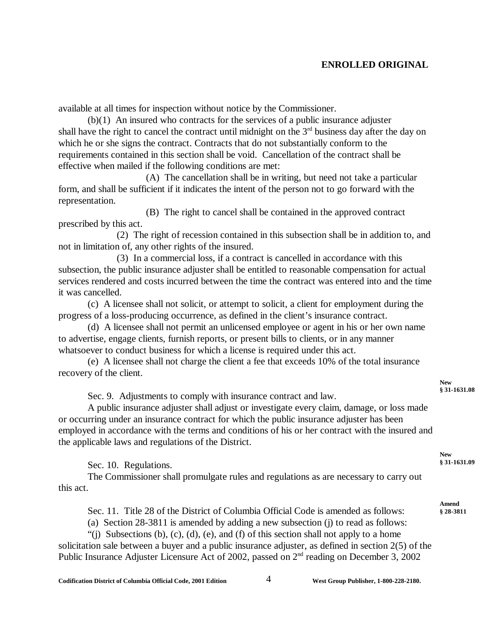available at all times for inspection without notice by the Commissioner.

(b)(1) An insured who contracts for the services of a public insurance adjuster shall have the right to cancel the contract until midnight on the  $3<sup>rd</sup>$  business day after the day on which he or she signs the contract. Contracts that do not substantially conform to the requirements contained in this section shall be void. Cancellation of the contract shall be effective when mailed if the following conditions are met:

(A) The cancellation shall be in writing, but need not take a particular form, and shall be sufficient if it indicates the intent of the person not to go forward with the representation.

(B) The right to cancel shall be contained in the approved contract prescribed by this act.

(2) The right of recession contained in this subsection shall be in addition to, and not in limitation of, any other rights of the insured.

(3) In a commercial loss, if a contract is cancelled in accordance with this subsection, the public insurance adjuster shall be entitled to reasonable compensation for actual services rendered and costs incurred between the time the contract was entered into and the time it was cancelled.

(c) A licensee shall not solicit, or attempt to solicit, a client for employment during the progress of a loss-producing occurrence, as defined in the client's insurance contract.

(d) A licensee shall not permit an unlicensed employee or agent in his or her own name to advertise, engage clients, furnish reports, or present bills to clients, or in any manner whatsoever to conduct business for which a license is required under this act.

(e) A licensee shall not charge the client a fee that exceeds 10% of the total insurance recovery of the client.

Sec. 9. Adjustments to comply with insurance contract and law.

A public insurance adjuster shall adjust or investigate every claim, damage, or loss made or occurring under an insurance contract for which the public insurance adjuster has been employed in accordance with the terms and conditions of his or her contract with the insured and the applicable laws and regulations of the District.

Sec. 10. Regulations.

The Commissioner shall promulgate rules and regulations as are necessary to carry out this act.

Sec. 11. Title 28 of the District of Columbia Official Code is amended as follows:

(a) Section 28-3811 is amended by adding a new subsection (j) to read as follows:

"(i) Subsections (b), (c), (d), (e), and (f) of this section shall not apply to a home

solicitation sale between a buyer and a public insurance adjuster, as defined in section 2(5) of the Public Insurance Adjuster Licensure Act of 2002, passed on  $2<sup>nd</sup>$  reading on December 3, 2002

**New § 31-1631.08**

**New § 31-1631.09**

**Amend § 28-3811**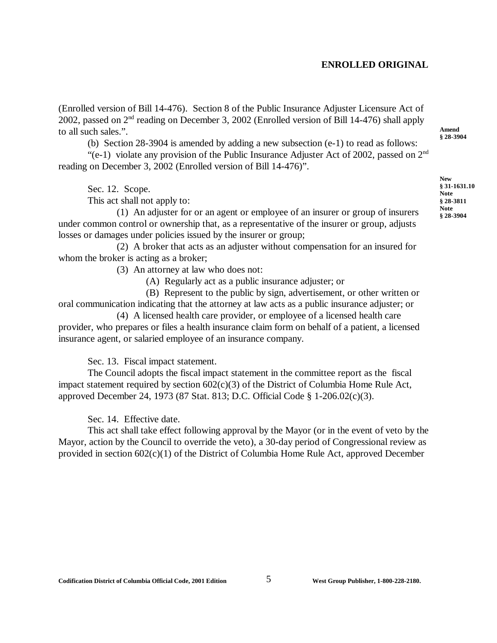(Enrolled version of Bill 14-476). Section 8 of the Public Insurance Adjuster Licensure Act of 2002, passed on 2nd reading on December 3, 2002 (Enrolled version of Bill 14-476) shall apply to all such sales.".

(b) Section 28-3904 is amended by adding a new subsection (e-1) to read as follows:

"(e-1) violate any provision of the Public Insurance Adjuster Act of 2002, passed on  $2<sup>nd</sup>$ reading on December 3, 2002 (Enrolled version of Bill 14-476)".

Sec. 12. Scope.

This act shall not apply to:

(1) An adjuster for or an agent or employee of an insurer or group of insurers under common control or ownership that, as a representative of the insurer or group, adjusts losses or damages under policies issued by the insurer or group;

(2) A broker that acts as an adjuster without compensation for an insured for whom the broker is acting as a broker;

(3) An attorney at law who does not:

(A) Regularly act as a public insurance adjuster; or

(B) Represent to the public by sign, advertisement, or other written or oral communication indicating that the attorney at law acts as a public insurance adjuster; or

(4) A licensed health care provider, or employee of a licensed health care provider, who prepares or files a health insurance claim form on behalf of a patient, a licensed insurance agent, or salaried employee of an insurance company.

Sec. 13. Fiscal impact statement.

The Council adopts the fiscal impact statement in the committee report as the fiscal impact statement required by section 602(c)(3) of the District of Columbia Home Rule Act, approved December 24, 1973 (87 Stat. 813; D.C. Official Code § 1-206.02(c)(3).

Sec. 14. Effective date.

This act shall take effect following approval by the Mayor (or in the event of veto by the Mayor, action by the Council to override the veto), a 30-day period of Congressional review as provided in section  $602(c)(1)$  of the District of Columbia Home Rule Act, approved December